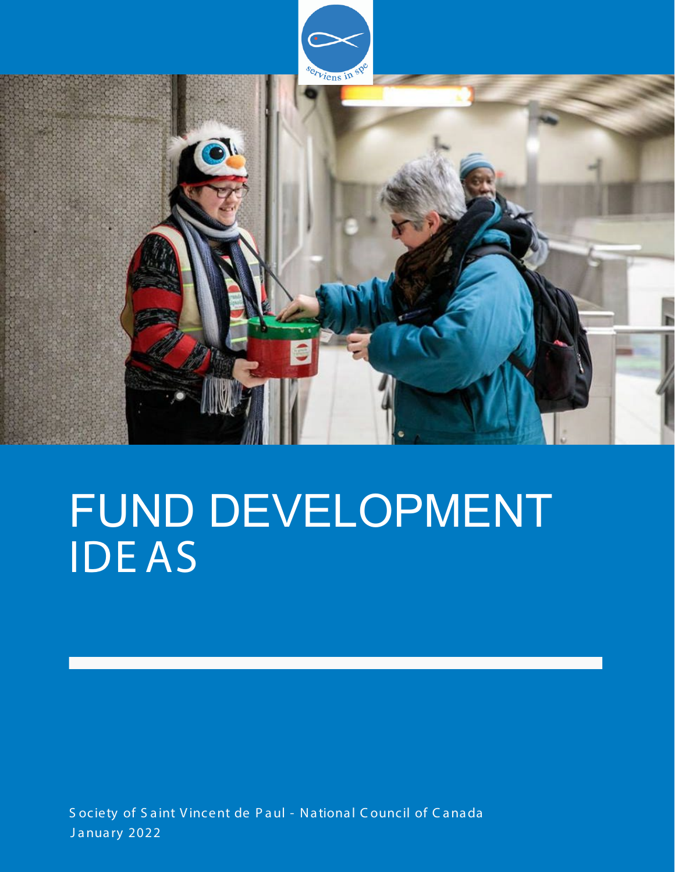

# FUND DEVELOPMENT IDE AS

S ociety of S a int V incent de P a ul - N a tiona l C ouncil of C a na da January 2022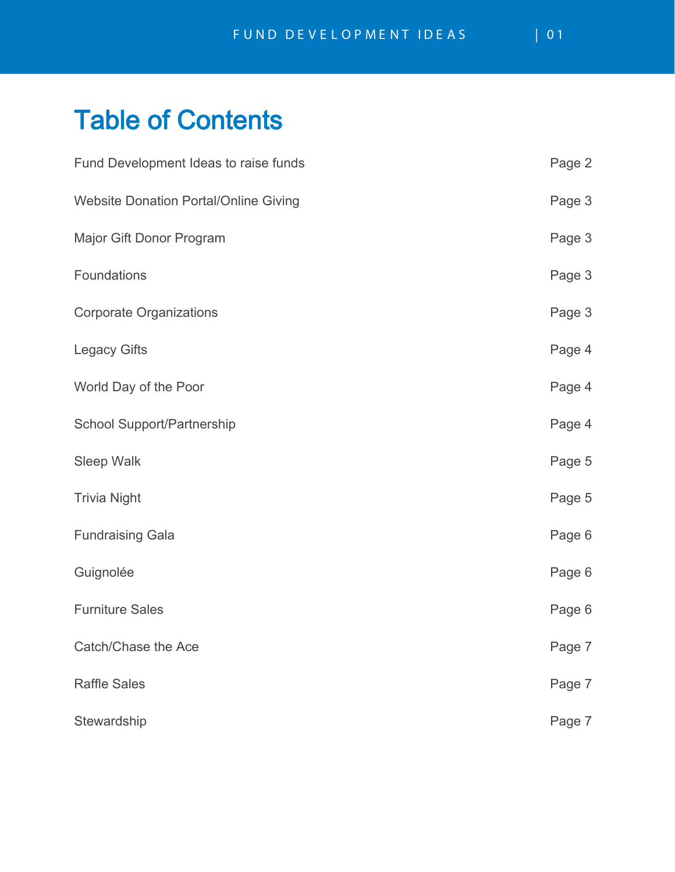## Table of Contents

| Fund Development Ideas to raise funds        | Page 2 |
|----------------------------------------------|--------|
| <b>Website Donation Portal/Online Giving</b> | Page 3 |
| Major Gift Donor Program                     | Page 3 |
| Foundations                                  | Page 3 |
| <b>Corporate Organizations</b>               | Page 3 |
| <b>Legacy Gifts</b>                          | Page 4 |
| World Day of the Poor                        | Page 4 |
| <b>School Support/Partnership</b>            | Page 4 |
| <b>Sleep Walk</b>                            | Page 5 |
| <b>Trivia Night</b>                          | Page 5 |
| <b>Fundraising Gala</b>                      | Page 6 |
| Guignolée                                    | Page 6 |
| <b>Furniture Sales</b>                       | Page 6 |
| Catch/Chase the Ace                          | Page 7 |
| <b>Raffle Sales</b>                          | Page 7 |
| Stewardship                                  | Page 7 |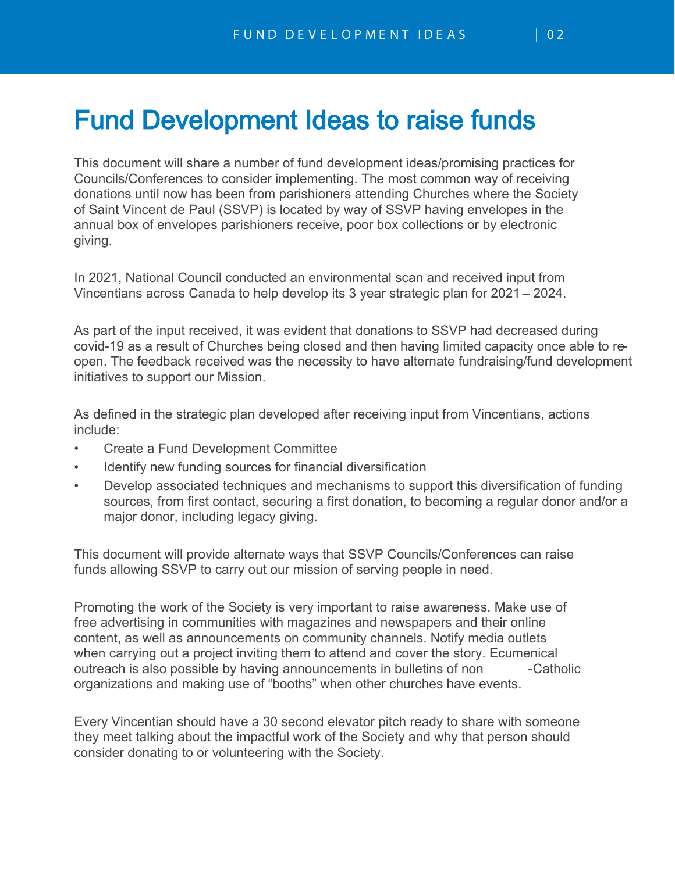#### Fund Development Ideas to raise funds

This document will share a number of fund development ideas/promising practices for Councils/Conferences to consider implementing. The most common way of receiving donations until now has been from parishioners attending Churches where the Society of Saint Vincent de Paul (SSVP) is located by way of SSVP having envelopes in the annual box of envelopes parishioners receive, poor box collections or by electronic giving.

In 2021, National Council conducted an environmental scan and received input from Vincentians across Canada to help develop its 3 year strategic plan for 2021 – 2024.

As part of the input received, it was evident that donations to SSVP had decreased during covid-19 as a result of Churches being closed and then having limited capacity once able to reopen. The feedback received was the necessity to have alternate fundraising/fund development initiatives to support our Mission.

As defined in the strategic plan developed after receiving input from Vincentians, actions include:

- Create a Fund Development Committee
- Identify new funding sources for financial diversification
- Develop associated techniques and mechanisms to support this diversification of funding sources, from first contact, securing a first donation, to becoming a regular donor and/or a major donor, including legacy giving.

This document will provide alternate ways that SSVP Councils/Conferences can raise funds allowing SSVP to carry out our mission of serving people in need.

Promoting the work of the Society is very important to raise awareness. Make use of free advertising in communities with magazines and newspapers and their online content, as well as announcements on community channels. Notify media outlets when carrying out a project inviting them to attend and cover the story. Ecumenical outreach is also possible by having announcements in bulletins of non --Catholic organizations and making use of "booths" when other churches have events.

Every Vincentian should have a 30 second elevator pitch ready to share with someone they meet talking about the impactful work of the Society and why that person should consider donating to or volunteering with the Society.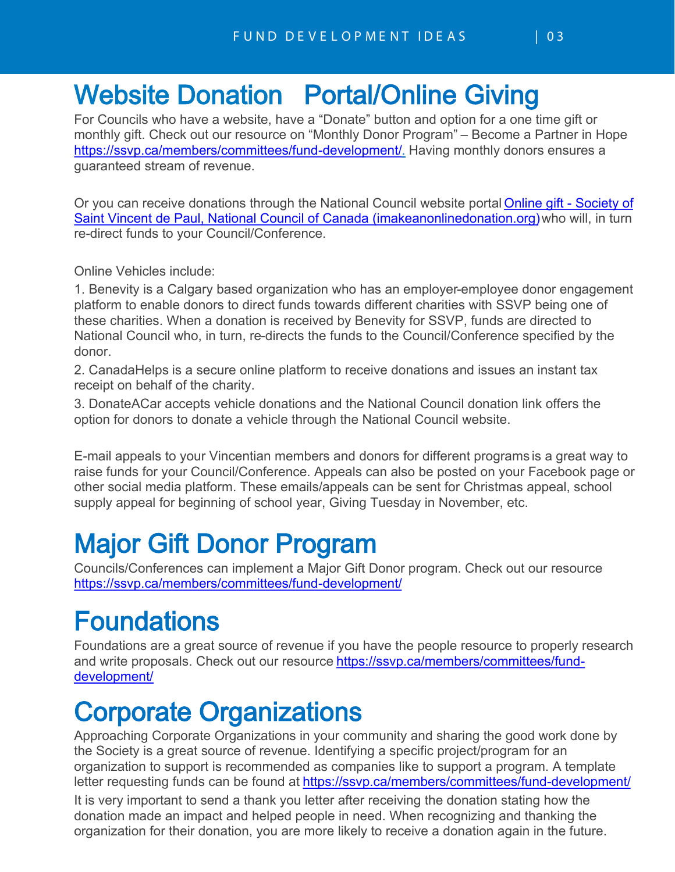## Website Donation Portal/Online Giving

For Councils who have a website, have a "Donate" button and option for a one time gift or monthly gift. Check out our resource on "Monthly Donor Program" – Become a Partner in Hope [https://ssvp.ca/members/committees/fund-development/.](https://ssvp.ca/members/committees/fund-development/) Having monthly donors ensures a guaranteed stream of revenue.

Or you can receive donations through the National Council website portal Online gift - Society of [Saint Vincent de Paul, National Council of Canada \(imakeanonlinedonation.org\)who will, in turn](https://www.imakeanonlinedonation.org/ssvp-national/)  re-direct funds to your Council/Conference.

Online Vehicles include:

1. Benevity is a Calgary based organization who has an employer-employee donor engagement platform to enable donors to direct funds towards different charities with SSVP being one of these charities. When a donation is received by Benevity for SSVP, funds are directed to National Council who, in turn, re-directs the funds to the Council/Conference specified by the donor.

2. CanadaHelps is a secure online platform to receive donations and issues an instant tax receipt on behalf of the charity.

3. DonateACar accepts vehicle donations and the National Council donation link offers the option for donors to donate a vehicle through the National Council website.

E-mail appeals to your Vincentian members and donors for different programs is a great way to raise funds for your Council/Conference. Appeals can also be posted on your Facebook page or other social media platform. These emails/appeals can be sent for Christmas appeal, school supply appeal for beginning of school year, Giving Tuesday in November, etc.

# Major Gift Donor Program

Councils/Conferences can implement a Major Gift Donor program. Check out our resource <https://ssvp.ca/members/committees/fund-development/>

#### **Foundations**

Foundations are a great source of revenue if you have the people resource to properly research [and write proposals. Check out our resource https://ssvp.ca/members/committees/fund](https://ssvp.ca/members/committees/fund-development/)development/

#### Corporate Organizations

Approaching Corporate Organizations in your community and sharing the good work done by the Society is a great source of revenue. Identifying a specific project/program for an organization to support is recommended as companies like to support a program. A template letter requesting funds can be found at<https://ssvp.ca/members/committees/fund-development/>

It is very important to send a thank you letter after receiving the donation stating how the donation made an impact and helped people in need. When recognizing and thanking the organization for their donation, you are more likely to receive a donation again in the future.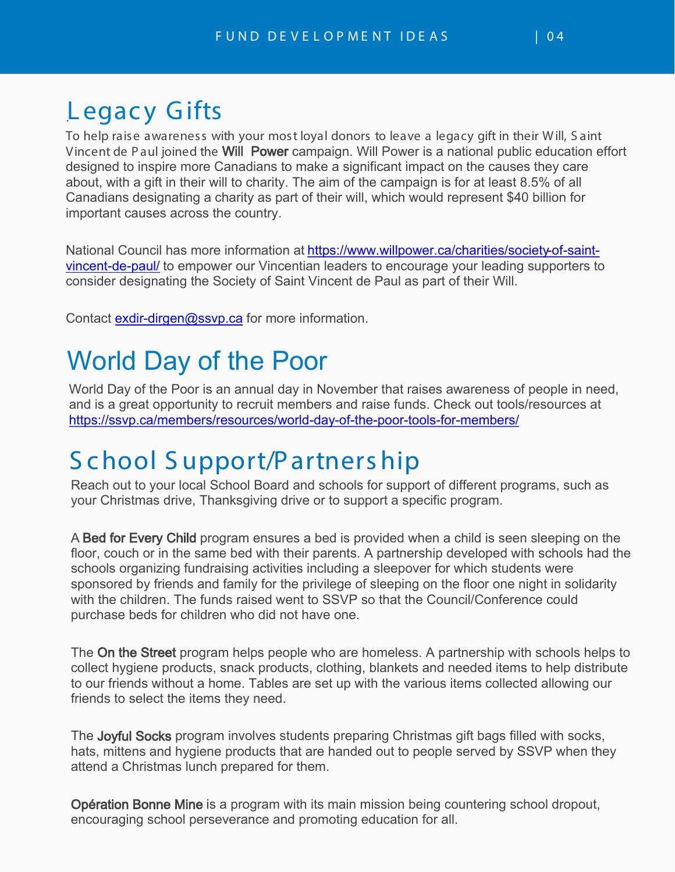#### Legacy Gifts

To help raise awareness with your most loyal donors to leave a legacy gift in their W ill, S aint Vincent de P aul joined the Will Power campaign. Will Power is a national public education effort designed to inspire more Canadians to make a significant impact on the causes they care about, with a gift in their will to charity. The aim of the campaign is for at least 8.5% of all Canadians designating a charity as part of their will, which would represent \$40 billion for important causes across the country.

[National Council has more information at https://www.willpower.ca/charities/society-of-saint](https://www.willpower.ca/charities/society-of-saint-vincent-de-paul/)vincent-de-paul/ to empower our Vincentian leaders to encourage your leading supporters to consider designating the Society of Saint Vincent de Paul as part of their Will.

Contact [exdir-dirgen@ssvp.ca](mailto:exdir-dirgen@ssvp.ca) for more information.

#### World Day of the Poor

World Day of the Poor is an annual day in November that raises awareness of people in need, and is a great opportunity to recruit members and raise funds. Check out tools/resources at <https://ssvp.ca/members/resources/world-day-of-the-poor-tools-for-members/>

#### S c hool S upport/P artners hip

Reach out to your local School Board and schools for support of different programs, such as your Christmas drive, Thanksgiving drive or to support a specific program.

A Bed for Every Child program ensures a bed is provided when a child is seen sleeping on the floor, couch or in the same bed with their parents. A partnership developed with schools had the schools organizing fundraising activities including a sleepover for which students were sponsored by friends and family for the privilege of sleeping on the floor one night in solidarity with the children. The funds raised went to SSVP so that the Council/Conference could purchase beds for children who did not have one.

The On the Street program helps people who are homeless. A partnership with schools helps to collect hygiene products, snack products, clothing, blankets and needed items to help distribute to our friends without a home. Tables are set up with the various items collected allowing our friends to select the items they need.

The Joyful Socks program involves students preparing Christmas gift bags filled with socks, hats, mittens and hygiene products that are handed out to people served by SSVP when they attend a Christmas lunch prepared for them.

Opération Bonne Mine is a program with its main mission being countering school dropout, encouraging school perseverance and promoting education for all.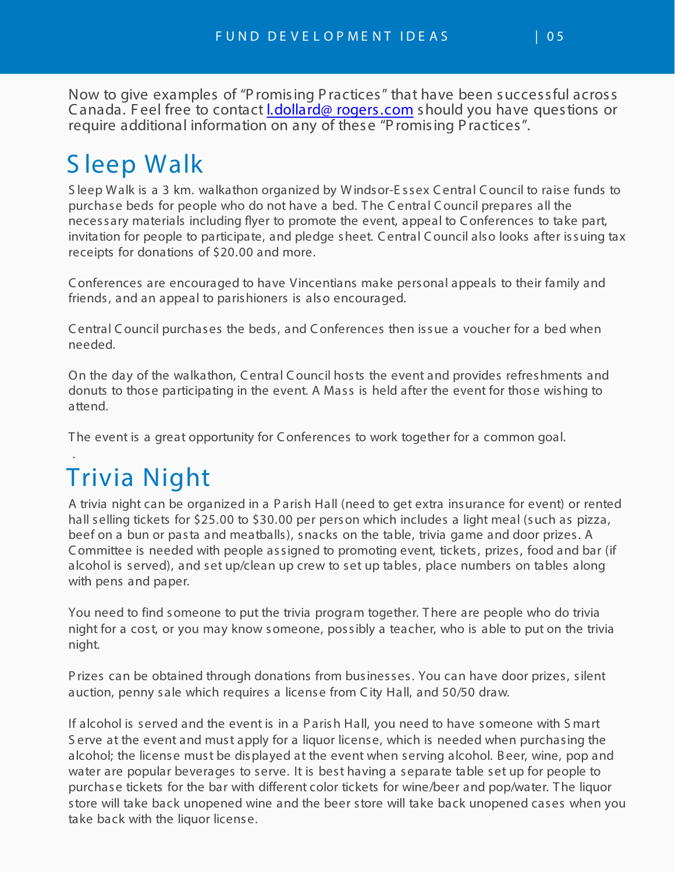Now to give examples of "P romis ing P ractices " that have been s uccessful acros s Canada. Feel free to contact [l.dollard@ rogers.com](mailto:l.dollard@rogers.com) should you have questions or require additional information on any of these "P romising P ractices".

# S leep Walk

S leep Walk is a 3 km. walkathon organized by W indsor-E ssex C entral C ouncil to raise funds to purchase beds for people who do not have a bed. T he C entral C ouncil prepares all the necessary materials including flyer to promote the event, appeal to C onferences to take part, invitation for people to participate, and pledge sheet. C entral C ouncil also looks after issuing tax receipts for donations of \$20.00 and more.

C onferences are encouraged to have Vincentians make personal appeals to their family and friends, and an appeal to parishioners is also encouraged.

C entral C ouncil purchases the beds, and C onferences then issue a voucher for a bed when needed.

On the day of the walkathon, C entral C ouncil hosts the event and provides refreshments and donuts to those participating in the event. A Mass is held after the event for those wishing to attend.

The event is a great opportunity for Conferences to work together for a common goal.

#### . Trivia Night

A trivia night can be organized in a P arish Hall (need to get extra insurance for event) or rented hall selling tickets for \$25.00 to \$30.00 per person which includes a light meal (such as pizza, beef on a bun or pasta and meatballs), snacks on the table, trivia game and door prizes. A C ommittee is needed with people assigned to promoting event, tickets, prizes, food and bar (if alcohol is served), and set up/clean up crew to set up tables, place numbers on tables along with pens and paper.

You need to find someone to put the trivia program together. T here are people who do trivia night for a cost, or you may know someone, possibly a teacher, who is able to put on the trivia night.

P rizes can be obtained through donations from businesses. You can have door prizes, silent auction, penny sale which requires a license from C ity Hall, and 50/50 draw.

If alcohol is served and the event is in a P arish Hall, you need to have someone with S mart S erve at the event and must apply for a liquor license, which is needed when purchasing the alcohol; the license must be displayed at the event when serving alcohol. B eer, wine, pop and water are popular beverages to serve. It is best having a separate table set up for people to purchase tickets for the bar with different color tickets for wine/beer and pop/water. T he liquor store will take back unopened wine and the beer store will take back unopened cases when you take back with the liquor license.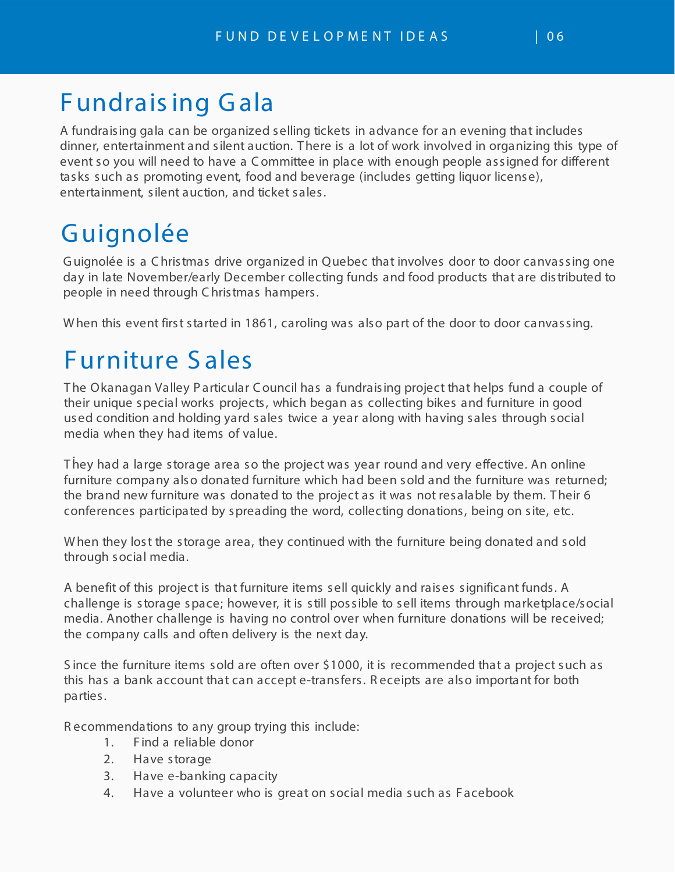#### Fundrais ing Gala

A fundraising gala can be organized selling tickets in advance for an evening that includes dinner, entertainment and silent auction. T here is a lot of work involved in organizing this type of event so you will need to have a C ommittee in place with enough people assigned for different tasks such as promoting event, food and beverage (includes getting liquor license), entertainment, silent auction, and ticket sales.

#### Guignolée

G uignolée is a C hristmas drive organized in Quebec that involves door to door canvassing one day in late November/early December collecting funds and food products that are distributed to people in need through C hristmas hampers.

W hen this event first started in 1861, caroling was also part of the door to door canvassing.

#### F urniture S ales

T he Okanagan Valley P articular C ouncil has a fundraising project that helps fund a couple of their unique special works projects, which began as collecting bikes and furniture in good used condition and holding yard sales twice a year along with having sales through social media when they had items of value.

. T hey had a large storage area so the project was year round and very effective. An online furniture company also donated furniture which had been sold and the furniture was returned; the brand new furniture was donated to the project as it was not resalable by them. T heir 6 conferences participated by spreading the word, collecting donations, being on site, etc.

W hen they lost the storage area, they continued with the furniture being donated and sold through social media.

A benefit of this project is that furniture items sell quickly and raises significant funds. A challenge is storage space; however, it is still possible to sell items through marketplace/social media. Another challenge is having no control over when furniture donations will be received; the company calls and often delivery is the next day.

S ince the furniture items sold are often over \$1000, it is recommended that a project such as this has a bank account that can accept e-transfers. R eceipts are also important for both parties.

R ecommendations to any group trying this include:

- 1. F ind a reliable donor
- 2. Have storage
- 3. Have e-banking capacity
- 4. Have a volunteer who is great on social media such as F acebook